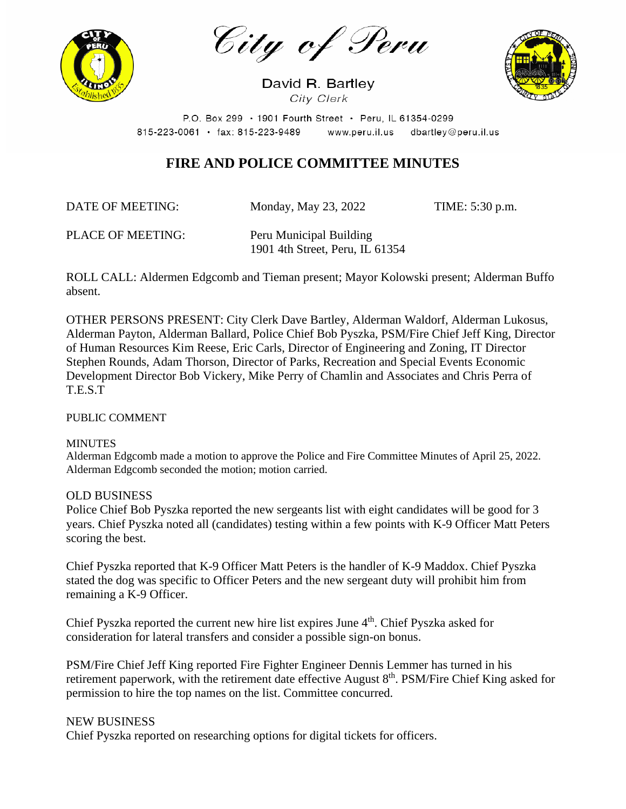

City of Peru

David R. Bartley City Clerk



P.O. Box 299 · 1901 Fourth Street · Peru, IL 61354-0299  $815 - 223 - 0061$  · fax: 815-223-9489 www.peru.il.us dbartley@peru.il.us

## **FIRE AND POLICE COMMITTEE MINUTES**

DATE OF MEETING: Monday, May 23, 2022 TIME: 5:30 p.m.

PLACE OF MEETING: Peru Municipal Building 1901 4th Street, Peru, IL 61354

ROLL CALL: Aldermen Edgcomb and Tieman present; Mayor Kolowski present; Alderman Buffo absent.

OTHER PERSONS PRESENT: City Clerk Dave Bartley, Alderman Waldorf, Alderman Lukosus, Alderman Payton, Alderman Ballard, Police Chief Bob Pyszka, PSM/Fire Chief Jeff King, Director of Human Resources Kim Reese, Eric Carls, Director of Engineering and Zoning, IT Director Stephen Rounds, Adam Thorson, Director of Parks, Recreation and Special Events Economic Development Director Bob Vickery, Mike Perry of Chamlin and Associates and Chris Perra of T.E.S.T

PUBLIC COMMENT

#### **MINUTES**

Alderman Edgcomb made a motion to approve the Police and Fire Committee Minutes of April 25, 2022. Alderman Edgcomb seconded the motion; motion carried.

### OLD BUSINESS

Police Chief Bob Pyszka reported the new sergeants list with eight candidates will be good for 3 years. Chief Pyszka noted all (candidates) testing within a few points with K-9 Officer Matt Peters scoring the best.

Chief Pyszka reported that K-9 Officer Matt Peters is the handler of K-9 Maddox. Chief Pyszka stated the dog was specific to Officer Peters and the new sergeant duty will prohibit him from remaining a K-9 Officer.

Chief Pyszka reported the current new hire list expires June  $4<sup>th</sup>$ . Chief Pyszka asked for consideration for lateral transfers and consider a possible sign-on bonus.

PSM/Fire Chief Jeff King reported Fire Fighter Engineer Dennis Lemmer has turned in his retirement paperwork, with the retirement date effective August 8<sup>th</sup>. PSM/Fire Chief King asked for permission to hire the top names on the list. Committee concurred.

### NEW BUSINESS

Chief Pyszka reported on researching options for digital tickets for officers.